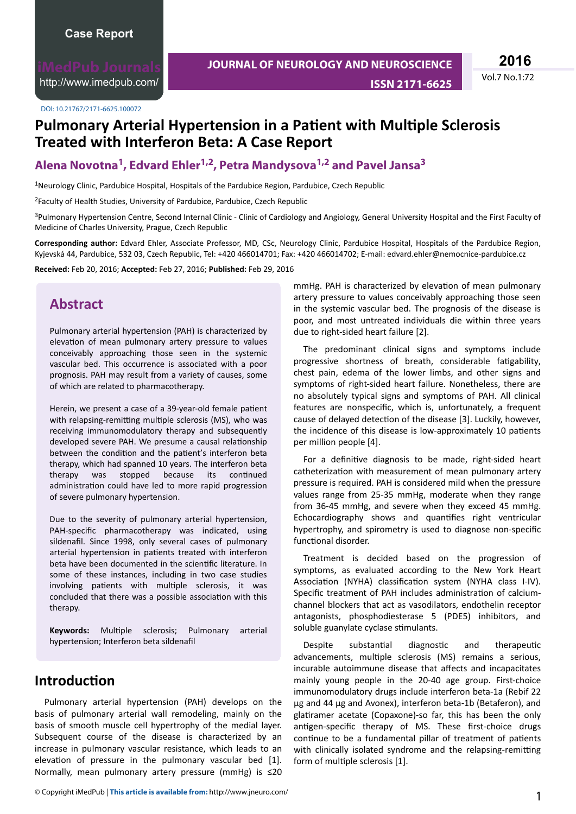<http://www.imedpub.com/>

DOI: 10.21767/2171-6625.100072

# **Pulmonary Arterial Hypertension in a Patient with Multiple Sclerosis Treated with Interferon Beta: A Case Report**

#### **Alena Novotna<sup>1</sup> , Edvard Ehler1,2, Petra Mandysova1,2 and Pavel Jansa<sup>3</sup>**

<sup>1</sup>Neurology Clinic, Pardubice Hospital, Hospitals of the Pardubice Region, Pardubice, Czech Republic

<sup>2</sup>Faculty of Health Studies, University of Pardubice, Pardubice, Czech Republic

<sup>3</sup>Pulmonary Hypertension Centre, Second Internal Clinic - Clinic of Cardiology and Angiology, General University Hospital and the First Faculty of Medicine of Charles University, Prague, Czech Republic

**Corresponding author:** Edvard Ehler, Associate Professor, MD, CSc, Neurology Clinic, Pardubice Hospital, Hospitals of the Pardubice Region, Kyjevská 44, Pardubice, 532 03, Czech Republic, Tel: +420 466014701; Fax: +420 466014702; E-mail: edvard.ehler@nemocnice-pardubice.cz

**Received:** Feb 20, 2016; **Accepted:** Feb 27, 2016; **Published:** Feb 29, 2016

#### **Abstract**

Pulmonary arterial hypertension (PAH) is characterized by elevation of mean pulmonary artery pressure to values conceivably approaching those seen in the systemic vascular bed. This occurrence is associated with a poor prognosis. PAH may result from a variety of causes, some of which are related to pharmacotherapy.

Herein, we present a case of a 39-year-old female patient with relapsing-remitting multiple sclerosis (MS), who was receiving immunomodulatory therapy and subsequently developed severe PAH. We presume a causal relationship between the condition and the patient's interferon beta therapy, which had spanned 10 years. The interferon beta therapy was stopped because its continued administration could have led to more rapid progression of severe pulmonary hypertension.

Due to the severity of pulmonary arterial hypertension, PAH-specific pharmacotherapy was indicated, using sildenafil. Since 1998, only several cases of pulmonary arterial hypertension in patients treated with interferon beta have been documented in the scientific literature. In some of these instances, including in two case studies involving patients with multiple sclerosis, it was concluded that there was a possible association with this therapy.

Keywords: Multiple sclerosis; Pulmonary arterial hypertension; Interferon beta sildenafil

#### **Introduction**

Pulmonary arterial hypertension (PAH) develops on the basis of pulmonary arterial wall remodeling, mainly on the basis of smooth muscle cell hypertrophy of the medial layer. Subsequent course of the disease is characterized by an increase in pulmonary vascular resistance, which leads to an elevation of pressure in the pulmonary vascular bed [1]. Normally, mean pulmonary artery pressure (mmHg) is ≤20

mmHg. PAH is characterized by elevation of mean pulmonary artery pressure to values conceivably approaching those seen in the systemic vascular bed. The prognosis of the disease is poor, and most untreated individuals die within three years due to right-sided heart failure [2].

The predominant clinical signs and symptoms include progressive shortness of breath, considerable fatigability. chest pain, edema of the lower limbs, and other signs and symptoms of right-sided heart failure. Nonetheless, there are no absolutely typical signs and symptoms of PAH. All clinical features are nonspecific, which is, unfortunately, a frequent cause of delayed detection of the disease [3]. Luckily, however, the incidence of this disease is low-approximately 10 patients per million people [4].

For a definitive diagnosis to be made, right-sided heart catheterization with measurement of mean pulmonary artery pressure is required. PAH is considered mild when the pressure values range from 25-35 mmHg, moderate when they range from 36-45 mmHg, and severe when they exceed 45 mmHg. Echocardiography shows and quantifies right ventricular hypertrophy, and spirometry is used to diagnose non-specific functional disorder.

Treatment is decided based on the progression of symptoms, as evaluated according to the New York Heart Association (NYHA) classification system (NYHA class I-IV). Specific treatment of PAH includes administration of calciumchannel blockers that act as vasodilators, endothelin receptor antagonists, phosphodiesterase 5 (PDE5) inhibitors, and soluble guanylate cyclase stimulants.

Despite substantial diagnostic and therapeutic advancements, multiple sclerosis (MS) remains a serious, incurable autoimmune disease that affects and incapacitates mainly young people in the 20-40 age group. First-choice immunomodulatory drugs include interferon beta-1a (Rebif 22 μg and 44 μg and Avonex), interferon beta-1b (Betaferon), and glatiramer acetate (Copaxone)-so far, this has been the only antigen-specific therapy of MS. These first-choice drugs continue to be a fundamental pillar of treatment of patients with clinically isolated syndrome and the relapsing-remitting form of multiple sclerosis [1].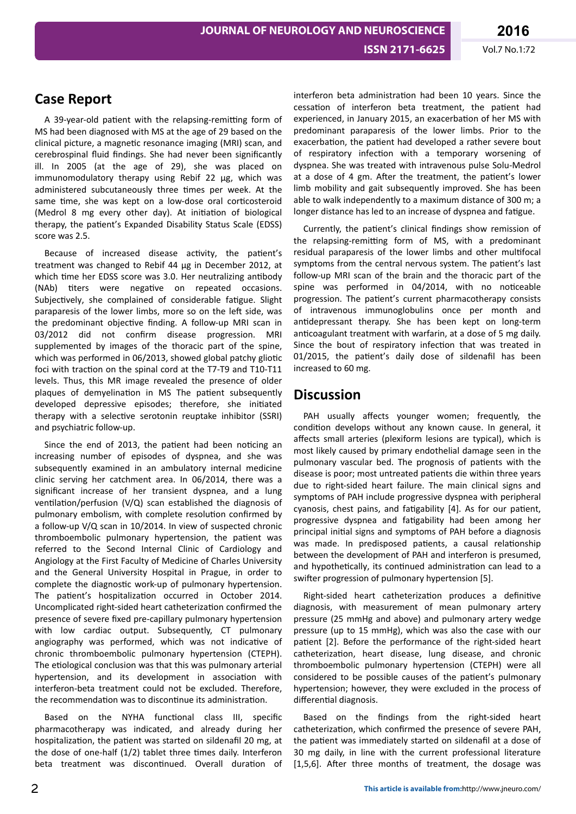## **Case Report**

A 39-year-old patient with the relapsing-remitting form of MS had been diagnosed with MS at the age of 29 based on the clinical picture, a magnetic resonance imaging (MRI) scan, and cerebrospinal fluid findings. She had never been significantly ill. In 2005 (at the age of 29), she was placed on immunomodulatory therapy using Rebif 22 μg, which was administered subcutaneously three times per week. At the same time, she was kept on a low-dose oral corticosteroid (Medrol 8 mg every other day). At initiation of biological therapy, the patient's Expanded Disability Status Scale (EDSS) score was 2.5.

Because of increased disease activity, the patient's treatment was changed to Rebif 44 μg in December 2012, at which time her EDSS score was 3.0. Her neutralizing antibody (NAb) titers were negative on repeated occasions. Subjectively, she complained of considerable fatigue. Slight paraparesis of the lower limbs, more so on the left side, was the predominant objective finding. A follow-up MRI scan in 03/2012 did not confirm disease progression. MRI supplemented by images of the thoracic part of the spine, which was performed in 06/2013, showed global patchy gliotic foci with traction on the spinal cord at the T7-T9 and T10-T11 levels. Thus, this MR image revealed the presence of older plaques of demyelination in MS The patient subsequently developed depressive episodes; therefore, she initiated therapy with a selective serotonin reuptake inhibitor (SSRI) and psychiatric follow-up.

Since the end of 2013, the patient had been noticing an increasing number of episodes of dyspnea, and she was subsequently examined in an ambulatory internal medicine clinic serving her catchment area. In 06/2014, there was a significant increase of her transient dyspnea, and a lung ventilation/perfusion (V/Q) scan established the diagnosis of pulmonary embolism, with complete resolution confirmed by a follow-up V/Q scan in 10/2014. In view of suspected chronic thromboembolic pulmonary hypertension, the patient was referred to the Second Internal Clinic of Cardiology and Angiology at the First Faculty of Medicine of Charles University and the General University Hospital in Prague, in order to complete the diagnostic work-up of pulmonary hypertension. The patient's hospitalization occurred in October 2014. Uncomplicated right-sided heart catheterization confirmed the presence of severe fixed pre-capillary pulmonary hypertension with low cardiac output. Subsequently, CT pulmonary angiography was performed, which was not indicative of chronic thromboembolic pulmonary hypertension (CTEPH). The etiological conclusion was that this was pulmonary arterial hypertension, and its development in association with interferon-beta treatment could not be excluded. Therefore, the recommendation was to discontinue its administration.

Based on the NYHA functional class III, specific pharmacotherapy was indicated, and already during her hospitalization, the patient was started on sildenafil 20 mg, at the dose of one-half  $(1/2)$  tablet three times daily. Interferon beta treatment was discontinued. Overall duration of

interferon beta administration had been 10 years. Since the cessation of interferon beta treatment, the patient had experienced, in January 2015, an exacerbation of her MS with predominant paraparesis of the lower limbs. Prior to the exacerbation, the patient had developed a rather severe bout of respiratory infection with a temporary worsening of dyspnea. She was treated with intravenous pulse Solu-Medrol at a dose of 4 gm. After the treatment, the patient's lower limb mobility and gait subsequently improved. She has been able to walk independently to a maximum distance of 300 m; a longer distance has led to an increase of dyspnea and fatigue.

Currently, the patient's clinical findings show remission of the relapsing-remitting form of MS, with a predominant residual paraparesis of the lower limbs and other multifocal symptoms from the central nervous system. The patient's last follow-up MRI scan of the brain and the thoracic part of the spine was performed in 04/2014, with no noticeable progression. The patient's current pharmacotherapy consists of intravenous immunoglobulins once per month and antidepressant therapy. She has been kept on long-term anticoagulant treatment with warfarin, at a dose of 5 mg daily. Since the bout of respiratory infection that was treated in 01/2015, the patient's daily dose of sildenafil has been increased to 60 mg.

### **Discussion**

PAH usually affects younger women; frequently, the condition develops without any known cause. In general, it affects small arteries (plexiform lesions are typical), which is most likely caused by primary endothelial damage seen in the pulmonary vascular bed. The prognosis of patients with the disease is poor; most untreated patients die within three years due to right-sided heart failure. The main clinical signs and symptoms of PAH include progressive dyspnea with peripheral cyanosis, chest pains, and fatigability [4]. As for our patient, progressive dyspnea and fatigability had been among her principal initial signs and symptoms of PAH before a diagnosis was made. In predisposed patients, a causal relationship between the development of PAH and interferon is presumed, and hypothetically, its continued administration can lead to a swifter progression of pulmonary hypertension [5].

Right-sided heart catheterization produces a definitive diagnosis, with measurement of mean pulmonary artery pressure (25 mmHg and above) and pulmonary artery wedge pressure (up to 15 mmHg), which was also the case with our patient [2]. Before the performance of the right-sided heart catheterization, heart disease, lung disease, and chronic thromboembolic pulmonary hypertension (CTEPH) were all considered to be possible causes of the patient's pulmonary hypertension; however, they were excluded in the process of differential diagnosis.

Based on the findings from the right-sided heart catheterization, which confirmed the presence of severe PAH, the patient was immediately started on sildenafil at a dose of 30 mg daily, in line with the current professional literature [1,5,6]. After three months of treatment, the dosage was